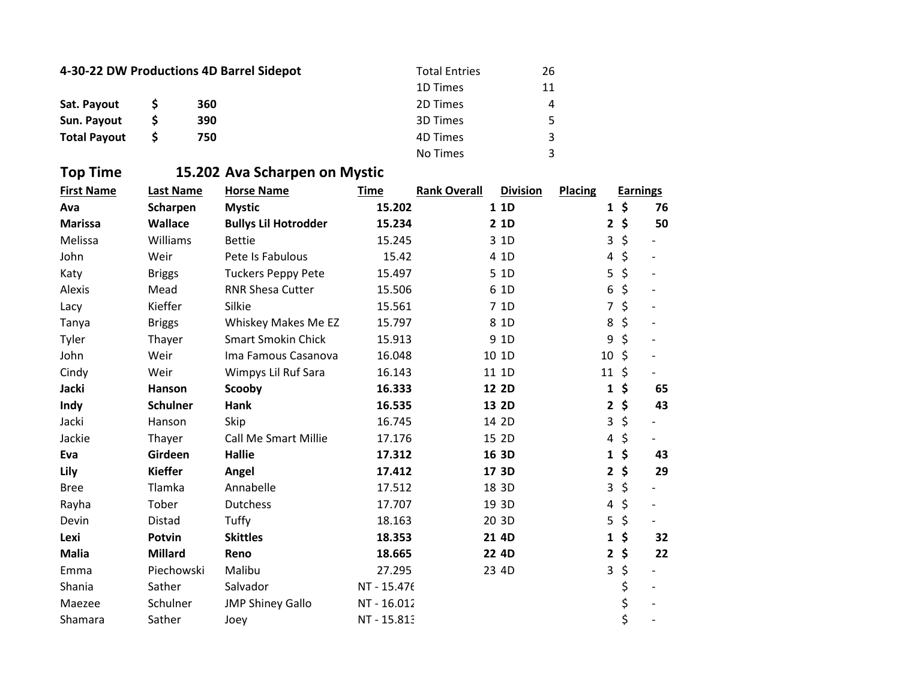| 4-30-22 DW Productions 4D Barrel Sidepot |  |     | <b>Total Entries</b> | 26 |
|------------------------------------------|--|-----|----------------------|----|
|                                          |  |     | 1D Times             | 11 |
| Sat. Payout                              |  | 360 | 2D Times             | 4  |
| Sun. Payout                              |  | 390 | 3D Times             | 5  |
| <b>Total Payout</b>                      |  | 750 | 4D Times             | 3  |
|                                          |  |     | No Times             | ર  |

## **Top Time 15.202 Ava Scharpen on Mystic**

| <b>First Name</b> | Last Name       | <b>Horse Name</b>           | <b>Time</b> | <b>Rank Overall</b> | <b>Division</b> | <b>Placing</b> |         | <b>Earnings</b> |
|-------------------|-----------------|-----------------------------|-------------|---------------------|-----------------|----------------|---------|-----------------|
| Ava               | Scharpen        | <b>Mystic</b>               | 15.202      |                     | 1 1 D           | 1              | \$      | 76              |
| <b>Marissa</b>    | Wallace         | <b>Bullys Lil Hotrodder</b> | 15.234      |                     | 2 1D            | $\mathbf{2}$   | \$      | 50              |
| Melissa           | Williams        | <b>Bettie</b>               | 15.245      |                     | 3 1D            | 3              | \$      |                 |
| John              | Weir            | Pete Is Fabulous            | 15.42       |                     | 4 1D            | 4              | \$      |                 |
| Katy              | <b>Briggs</b>   | <b>Tuckers Peppy Pete</b>   | 15.497      |                     | 5 1D            | 5              | \$      |                 |
| Alexis            | Mead            | <b>RNR Shesa Cutter</b>     | 15.506      |                     | 6 1D            | 6              | \$      |                 |
| Lacy              | Kieffer         | Silkie                      | 15.561      |                     | 7 1D            | 7              | \$      |                 |
| Tanya             | <b>Briggs</b>   | Whiskey Makes Me EZ         | 15.797      |                     | 8 1D            | 8              | \$      |                 |
| Tyler             | Thayer          | <b>Smart Smokin Chick</b>   | 15.913      |                     | 9 1D            | 9              | \$      |                 |
| John              | Weir            | Ima Famous Casanova         | 16.048      |                     | 10 1D           | 10             | $\zeta$ |                 |
| Cindy             | Weir            | Wimpys Lil Ruf Sara         | 16.143      |                     | 11 1D           | 11             | $\zeta$ |                 |
| <b>Jacki</b>      | Hanson          | Scooby                      | 16.333      |                     | 12 2D           | $\mathbf{1}$   | \$      | 65              |
| Indy              | <b>Schulner</b> | Hank                        | 16.535      |                     | 13 2D           | $\mathbf{2}$   | \$      | 43              |
| Jacki             | Hanson          | Skip                        | 16.745      |                     | 14 2D           | 3              | \$      |                 |
| Jackie            | Thayer          | <b>Call Me Smart Millie</b> | 17.176      |                     | 15 2D           | 4              | \$      |                 |
| Eva               | Girdeen         | <b>Hallie</b>               | 17.312      |                     | 16 3D           | 1              | \$      | 43              |
| Lily              | <b>Kieffer</b>  | Angel                       | 17.412      |                     | 17 3D           | $\mathbf{2}$   | \$      | 29              |
| <b>Bree</b>       | Tlamka          | Annabelle                   | 17.512      |                     | 18 3D           | 3              | \$      |                 |
| Rayha             | Tober           | Dutchess                    | 17.707      |                     | 19 3D           | 4              | \$      |                 |
| Devin             | Distad          | Tuffy                       | 18.163      |                     | 20 3D           | 5              | \$      |                 |
| Lexi              | Potvin          | <b>Skittles</b>             | 18.353      |                     | 21 4D           | $\mathbf{1}$   | \$      | 32              |
| <b>Malia</b>      | <b>Millard</b>  | Reno                        | 18.665      |                     | 22 4D           | $\mathbf{2}$   | \$      | 22              |
| Emma              | Piechowski      | Malibu                      | 27.295      |                     | 23 4D           | 3              | \$      |                 |
| Shania            | Sather          | Salvador                    | NT - 15.476 |                     |                 |                | \$      |                 |
| Maezee            | Schulner        | <b>JMP Shiney Gallo</b>     | NT-16.012   |                     |                 |                | \$      |                 |
| Shamara           | Sather          | Joey                        | NT-15.813   |                     |                 |                | \$      |                 |